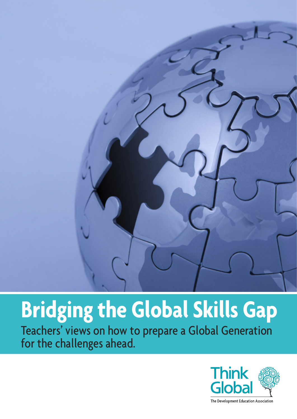

# **Bridging the Global Skills Gap**

Teachers' views on how to prepare a Global Generation for the challenges ahead.

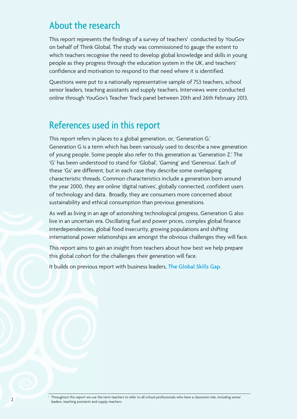## About the research

This report represents the findings of a survey of teachers<sup>1</sup> conducted by YouGov on behalf of Think Global. The study was commissioned to gauge the extent to which teachers recognise the need to develop global knowledge and skills in young people as they progress through the education system in the UK, and teachers' confidence and motivation to respond to that need where it is identified.

Questions were put to a nationally representative sample of 753 teachers, school senior leaders, teaching assistants and supply teachers. Interviews were conducted online through YouGov's Teacher Track panel between 20th and 26th February 2013.

## References used in this report

This report refers in places to a global generation, or, 'Generation G.' Generation G is a term which has been variously used to describe a new generation of young people. Some people also refer to this generation as 'Generation Z.' The 'G' has been understood to stand for 'Global', 'Gaming' and 'Generous'. Each of these 'Gs' are different, but in each case they describe some overlapping characteristic threads. Common characteristics include a generation born around the year 2000, they are online 'digital natives', globally connected, confident users of technology and data. Broadly, they are consumers more concerned about sustainability and ethical consumption than previous generations.

As well as living in an age of astonishing technological progress, Generation G also live in an uncertain era. Oscillating fuel and power prices, complex global finance interdependencies, global food insecurity, growing populations and shifting international power relationships are amongst the obvious challenges they will face.

This report aims to gain an insight from teachers about how best we help prepare this global cohort for the challenges their generation will face.

It builds on previous report with business leaders, The [Global](http://www.think-global.org.uk/resources/item.asp?d=6404) Skills Gap.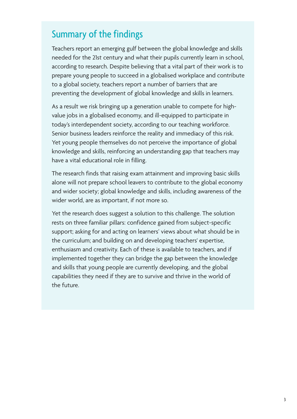# Summary of the findings

Teachers report an emerging gulf between the global knowledge and skills needed for the 21st century and what their pupils currently learn in school, according to research. Despite believing that a vital part of their work is to prepare young people to succeed in a globalised workplace and contribute to a global society, teachers report a number of barriers that are preventing the development of global knowledge and skills in learners.

As a result we risk bringing up a generation unable to compete for highvalue jobs in a globalised economy, and ill-equipped to participate in today's interdependent society, according to our teaching workforce. Senior business leaders reinforce the reality and immediacy of this risk. Yet young people themselves do not perceive the importance of global knowledge and skills, reinforcing an understanding gap that teachers may have a vital educational role in filling.

The research finds that raising exam attainment and improving basic skills alone will not prepare school leavers to contribute to the global economy and wider society; global knowledge and skills, including awareness of the wider world, are as important, if not more so.

Yet the research does suggest a solution to this challenge. The solution rests on three familiar pillars: confidence gained from subject-specific support; asking for and acting on learners' views about what should be in the curriculum; and building on and developing teachers' expertise, enthusiasm and creativity. Each of these is available to teachers, and if implemented together they can bridge the gap between the knowledge and skills that young people are currently developing, and the global capabilities they need if they are to survive and thrive in the world of the future.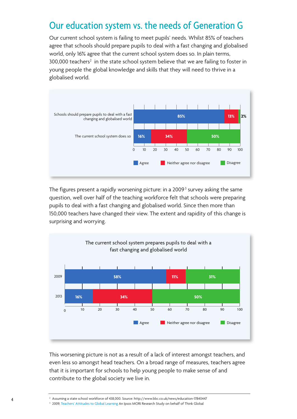# Our education system vs. the needs of Generation G

Our current school system is failing to meet pupils' needs. Whilst 85% of teachers agree that schools should prepare pupils to deal with a fast changing and globalised world, only 16% agree that the current school system does so. In plain terms,  $300,000$  teachers<sup>2</sup> in the state school system believe that we are failing to foster in young people the global knowledge and skills that they will need to thrive in a globalised world.



The figures present a rapidly worsening picture: in a 2009<sup>3</sup> survey asking the same question, well over half of the teaching workforce felt that schools were preparing pupils to deal with a fast changing and globalised world. Since then more than 150,000 teachers have changed their view. The extent and rapidity of this change is surprising and worrying.



This worsening picture is not as a result of a lack of interest amongst teachers, and even less so amongst head teachers. On a broad range of measures, teachers agree that it is important for schools to help young people to make sense of and contribute to the global society we live in.

<sup>&</sup>lt;sup>2</sup> Assuming a state school workforce of 438,000. Source: <http://www.bbc.co.uk/news/education-17840447>

<sup>&</sup>lt;sup>3</sup> 2009, Teachers' [Attitudes](http://www.think-global.org.uk/resources/item.asp?d=905) to Global Learning An Ipsos MORI Research Study on behalf of Think Global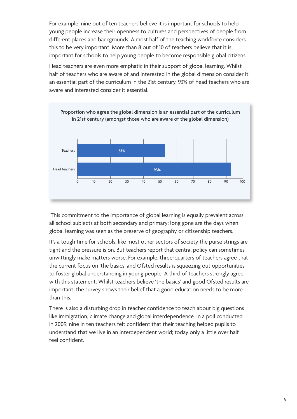For example, nine out of ten teachers believe it is important for schools to help young people increase their openness to cultures and perspectives of people from different places and backgrounds. Almost half of the teaching workforce considers this to be very important. More than 8 out of 10 of teachers believe that it is important for schools to help young people to become responsible global citizens.

Head teachers are even more emphatic in their support of global learning. Whilst half of teachers who are aware of and interested in the global dimension consider it an essential part of the curriculum in the 21st century, 93% of head teachers who are aware and interested consider it essential.



This commitment to the importance of global learning is equally prevalent across all school subjects at both secondary and primary; long gone are the days when global learning was seen as the preserve of geography or citizenship teachers.

It's a tough time for schools; like most other sectors of society the purse strings are tight and the pressure is on. But teachers report that central policy can sometimes unwittingly make matters worse. For example, three-quarters of teachers agree that the current focus on 'the basics' and Ofsted results is squeezing out opportunities to foster global understanding in young people. A third of teachers strongly agree with this statement. Whilst teachers believe 'the basics' and good Ofsted results are important, the survey shows their belief that a good education needs to be more than this.

There is also a disturbing drop in teacher confidence to teach about big questions like immigration, climate change and global interdependence. In a poll conducted in 2009, nine in ten teachers felt confident that their teaching helped pupils to understand that we live in an interdependent world; today only a little over half feel confident.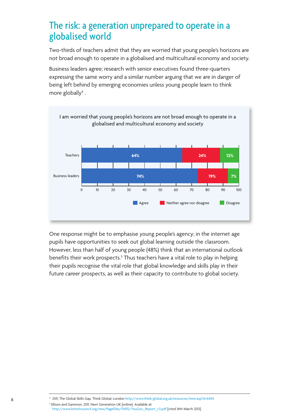# The risk: a generation unprepared to operate in a globalised world

Two-thirds of teachers admit that they are worried that young people's horizons are not broad enough to operate in a globalised and multicultural economy and society.

Business leaders agree; research with senior executives found three-quarters expressing the same worry and a similar number arguing that we are in danger of being left behind by emerging economies unless young people learn to think more globally $4$ .



One response might be to emphasise young people's agency; in the internet age pupils have opportunities to seek out global learning outside the classroom. However, less than half of young people (48%) think that an international outlook benefits their work prospects. <sup>5</sup> Thus teachers have a vital role to play in helping their pupils recognise the vital role that global knowledge and skills play in their future career prospects, as well as their capacity to contribute to global society.

<sup>4</sup> 2011, The Global Skills Gap. Think Global: London <http://www.think-global.org.uk/resources/item.asp?d=6404> <sup>5</sup> Ellison and Gammon, 2011, Next Generation UK [online]. Available at: [http://www.britishcouncil.org/new/PageFiles/15492/YouGov\\_Report\\_v3.pdf](http://www.britishcouncil.org/new/PageFiles/15492/YouGov_Report_v3.pdf) [cited 14th March 2013]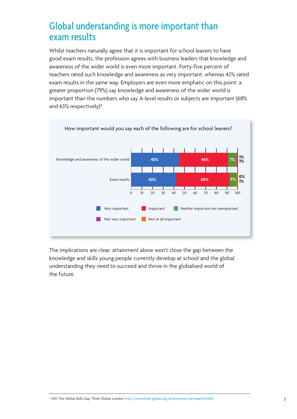# Global understanding is more important than exam results

Whilst teachers naturally agree that it is important for school leavers to have good exam results, the profession agrees with business leaders that knowledge and awareness of the wider world is even more important. Forty-five percent of teachers rated such knowledge and awareness as very important, whereas 42% rated exam results in the same way. Employers are even more emphatic on this point: a greater proportion (79%) say knowledge and awareness of the wider world is important than the numbers who say A-level results or subjects are important (68% and 63% respectively) 6 .



The implications are clear: attainment alone won't close the gap between the knowledge and skills young people currently develop at school and the global understanding they need to succeed and thrive in the globalised world of the future.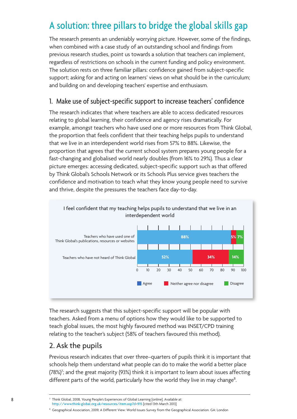# A solution: three pillars to bridge the global skills gap

The research presents an undeniably worrying picture. However, some of the findings, when combined with a case study of an outstanding school and findings from previous research studies, point us towards a solution that teachers can implement, regardless of restrictions on schools in the current funding and policy environment. The solution rests on three familiar pillars: confidence gained from subject-specific support; asking for and acting on learners' views on what should be in the curriculum; and building on and developing teachers' expertise and enthusiasm.

#### 1. Make use of subject-specific support to increase teachers' confidence

The research indicates that where teachers are able to access dedicated resources relating to global learning, their confidence and agency rises dramatically. For example, amongst teachers who have used one or more resources from Think Global, the proportion that feels confident that their teaching helps pupils to understand that we live in an interdependent world rises from 57% to 88%. Likewise, the proportion that agrees that the current school system prepares young people for a fast-changing and globalised world nearly doubles (from 16% to 29%). Thus a clear picture emerges: accessing dedicated, subject-specific support such as that offered by Think Global's Schools Network or its Schools Plus service gives teachers the confidence and motivation to teach what they know young people need to survive and thrive, despite the pressures the teachers face day-to-day.



The research suggests that this subject-specific support will be popular with teachers. Asked from a menu of options how they would like to be supported to teach global issues, the most highly favoured method was INSET/CPD training relating to the teacher's subject (58% of teachers favoured this method).

### 2. Ask the pupils

Previous research indicates that over three–quarters of pupils think it is important that schools help them understand what people can do to make the world a better place (78%) 7 ; and the great majority (93%) think it is important to learn about issues affecting different parts of the world, particularly how the world they live in may change<sup>8</sup>. .

<sup>7</sup> Think Global, 2008, Young People's Experiences of Global Learning [online]. Available at: <http://www.think-global.org.uk/resources/item.asp?d=915> [cited 13th March 2013]

<sup>&</sup>lt;sup>8</sup> Geographical Association, 2009, A Different View: World Issues Survey from the Geographical Association. GA: London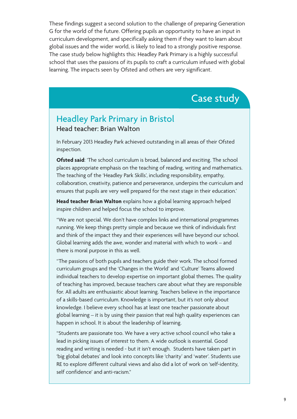These findings suggest a second solution to the challenge of preparing Generation G for the world of the future. Offering pupils an opportunity to have an input in curriculum development, and specifically asking them if they want to learn about global issues and the wider world, is likely to lead to a strongly positive response. The case study below highlights this: Headley Park Primary is a highly successful school that uses the passions of its pupils to craft a curriculum infused with global learning. The impacts seen by Ofsted and others are very significant.

## Case study

## Headley Park Primary in Bristol Head teacher: Brian Walton

In February 2013 Headley Park achieved outstanding in all areas of their Ofsted inspection.

**Ofsted said**: 'The school curriculum is broad, balanced and exciting. The school places appropriate emphasis on the teaching of reading, writing and mathematics. The teaching of the 'Headley Park Skills', including responsibility, empathy, collaboration, creativity, patience and perseverance, underpins the curriculum and ensures that pupils are very well prepared for the next stage in their education.'

**Head teacher Brian Walton** explains how a global learning approach helped inspire children and helped focus the school to improve.

"We are not special. We don't have complex links and international programmes running. We keep things pretty simple and because we think of individuals first and think of the impact they and their experiences will have beyond our school. Global learning adds the awe, wonder and material with which to work – and there is moral purpose in this as well.

"The passions of both pupils and teachers guide their work. The school formed curriculum groups and the 'Changes in the World' and 'Culture' Teams allowed individual teachers to develop expertise on important global themes. The quality of teaching has improved, because teachers care about what they are responsible for. All adults are enthusiastic about learning. Teachers believe in the importance of a skills-based curriculum. Knowledge is important, but it's not only about knowledge. I believe every school has at least one teacher passionate about global learning – it is by using their passion that real high quality experiences can happen in school. It is about the leadership of learning.

"Students are passionate too. We have a very active school council who take a lead in picking issues of interest to them. A wide outlook is essential. Good reading and writing is needed - but it isn't enough. Students have taken part in 'big global debates' and look into concepts like 'charity' and 'water'. Students use RE to explore different cultural views and also did a lot of work on 'self-identity, self confidence' and anti-racism."